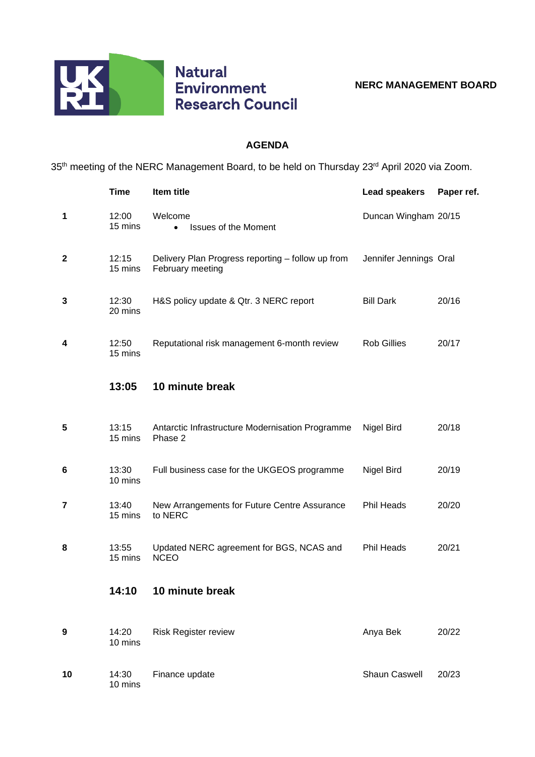

## **AGENDA**

35<sup>th</sup> meeting of the NERC Management Board, to be held on Thursday 23<sup>rd</sup> April 2020 via Zoom.

|             | <b>Time</b>      | Item title                                                            | <b>Lead speakers</b>   | Paper ref. |
|-------------|------------------|-----------------------------------------------------------------------|------------------------|------------|
| 1           | 12:00<br>15 mins | Welcome<br><b>Issues of the Moment</b><br>$\bullet$                   | Duncan Wingham 20/15   |            |
| $\mathbf 2$ | 12:15<br>15 mins | Delivery Plan Progress reporting - follow up from<br>February meeting | Jennifer Jennings Oral |            |
| 3           | 12:30<br>20 mins | H&S policy update & Qtr. 3 NERC report                                | <b>Bill Dark</b>       | 20/16      |
| 4           | 12:50<br>15 mins | Reputational risk management 6-month review                           | <b>Rob Gillies</b>     | 20/17      |
|             | 13:05            | 10 minute break                                                       |                        |            |
| 5           | 13:15<br>15 mins | Antarctic Infrastructure Modernisation Programme<br>Phase 2           | Nigel Bird             | 20/18      |
| 6           | 13:30<br>10 mins | Full business case for the UKGEOS programme                           | Nigel Bird             | 20/19      |
| 7           | 13:40<br>15 mins | New Arrangements for Future Centre Assurance<br>to NERC               | <b>Phil Heads</b>      | 20/20      |
| 8           | 13:55<br>15 mins | Updated NERC agreement for BGS, NCAS and<br><b>NCEO</b>               | Phil Heads             | 20/21      |
|             | 14:10            | 10 minute break                                                       |                        |            |
| 9           | 14:20<br>10 mins | <b>Risk Register review</b>                                           | Anya Bek               | 20/22      |
| 10          | 14:30<br>10 mins | Finance update                                                        | Shaun Caswell          | 20/23      |